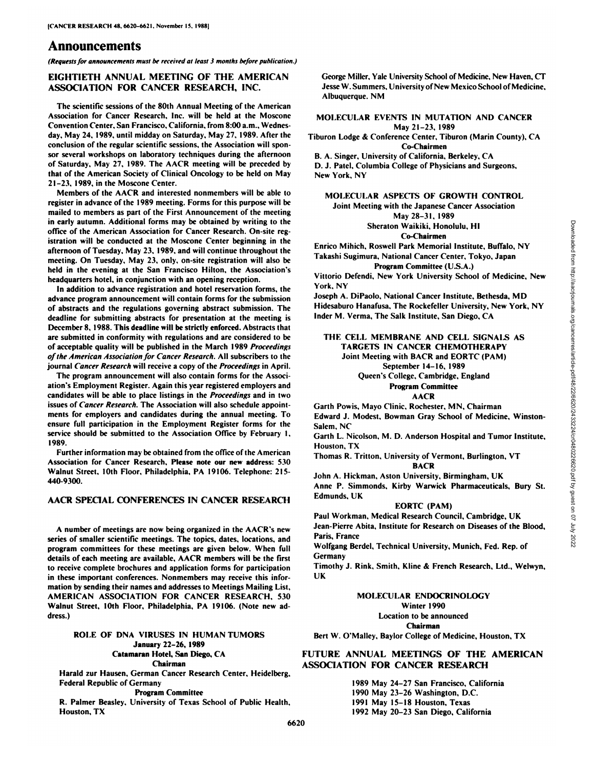# **Announcements**

*(Requests far announcement\* must he received at least 3 months he/ore publication.)*

# **EIGHTIETH ANNUAL MEETING OF THE AMERICAN ASSOCIATION FOR CANCER RESEARCH, INC.**

The scientific sessions of the 80th Annual Meeting of the American Association for Cancer Research, Inc. will be held at the Moscone Convention Center, San Francisco, California, from 8:00 a.m., Wednesday. May 24. 1989. until midday on Saturday, May 27, 1989. After the conclusion of the regular scientific sessions, the Association will spon sor several workshops on laboratory techniques during the afternoon of Saturday. May 27. 1989. The AACR meeting will be preceded by that of the American Society of Clinical Oncology to be held on May 21-23, 1989, in the Moscone Center.

Members of the AACR and interested nonmembers will be able to register in advance of the 1989 meeting. Forms for this purpose will be mailed to members as part of the First Announcement of the meeting in early autumn. Additional forms may be obtained by writing to the office of the American Association for Cancer Research. On-site reg istration will be conducted at the Moscone Center beginning in the afternoon of Tuesday, May 23, 1989, and will continue throughout the meeting. On Tuesday. May 23, only, on-site registration will also be held in the evening at the San Francisco Milton, the Association's headquarters hotel, in conjunction with an opening reception.

In addition to advance registration and hotel reservation forms, the advance program announcement will contain forms for the submission of abstracts and the regulations governing abstract submission. The deadline for submitting abstracts for presentation at the meeting is December 8, 1988. This deadline will be strictly enforced. Abstracts that are submitted in conformity with regulations and are considered to be of acceptable quality will be published in the March 1989 Proceedings *of the American Association for Cancer Research. All subscribers to (he* journal Cancer Research will receive a copy of the Proceedings in April.

The program announcement will also contain forms for the Associ ation's Fmployment Register. Again this year registered employers and candidates will be able to place listings in the *Proceedings* and in two issues of *Cancer Research*. The Association will also schedule appointments for employers and candidates during the annual meeting. To ensure full participation in the Employment Register forms for the service should be submitted to the Association Office by February I, 1989.

Further information may be obtained from the office of the American Association for Cancer Research, Please note our new address: 530 Walnut Street, 10th Floor, Philadelphia, PA 19106. Telephone: 215- 440-9300.

### **AACR SPECIAL CONFERENCES IN CANCER RESEARCH**

A number of meetings are now being organized in the AACR's new series of smaller scientific meetings. The topics, dates, locations, and program committees for these meetings are given below. When full details of each meeting are available. AACR members will be the first to receive complete brochures and application forms for participation in these important conferences. Nonmembers may receive this information by sending their names and addresses to Meetings Mailing List, AMERICAN ASSOCIATION FOR CANCER RESEARCH, 530 Walnut Street, IOth Floor. Philadelphia, PA 19106. (Note new ad dress.)

#### **ROI.K OF DNA VIRUSES IN HUMAN TUMORS January 22-26, 1989 (Mamaran Hotel, San Diego, CA Chairman**

Harald zur Hausen, German Cancer Research Center, Heidelberg, Federal Republic of Germany

**Program Committee**

**R. Palmer Beasley. University ofTexas School of Public Health. Houston. TX**

George Miller, Yale University School of Medicine, New Haven, CT Jesse W. Summers, University of New Mexico School of Medicine, Albuquerque. NM

## **MOI.KCUI.AR KVENTS IN MUTATION AND CANCER** May 21-23, 1989

Tiburon Lodge & Conference Center, Tiburon (Marin County), CA **Co-Chairmen**

B. A. Singer. University of California, Berkeley, CA

D. J. Patel, Columbia College of Physicians and Surgeons, New York, NY

### **MOLECULAR ASPECTS OF GROWTH CONTROL** Joint Meeting with the Japanese Cancer Association May 28-31, 1989 Sheraton Waikiki. Honolulu, HI

**Co-Chairmen**

Takashi Sugimura, National Cancer Center, Tokyo, Japan **Program Committee (U.S.A.)** 

Vittorio Defendi, New York University School of Medicine, New York, NY

Joseph A. DiPaolo, National Cancer Institute, Bethesda, MD Hidesaburo Hanafusa, The Rockefeller University, New York, NY Inder M. Verma, The Salk Institute. San Diego, CA

# Sheraton Waikiki, Honolulu, HI<br>
Co-Chairmen Co-Chairmen Institute, Buffalo, NY<br>
Takashi Sugimura, National Cancer Center, Tokyo, Japan<br>
Yittorio Defendi, New York University School of Medicine, New<br>
York, NY<br>
Vittorio Defe **THE CELL MEMBRANE AND CELL SIGNALS AS TARGETS IN CANCER CHEMOTHERAPY** Joint Meeting with BACR and EORTC (PAM) September 14-16, 1989 Queen's College. Cambridge, England

**Program C'ommittee AACR**

Garth Powis, Mayo Clinic, Rochester, MN, Chairman Edward J. Modest. Bowman Gray School of Medicine, Winston-Salem. NC

Garth L. Nicolson, M. D. Anderson Hospital and Tumor Institute, Houston, TX

Thomas R. Tritton, University of Vermont. Burlington, VT **BACR**

John A. Hickman. Aston University, Birmingham, UK Anne P. Simmonds, Kirby Warwick Pharmaceuticals, Bury St. Edmunds, UK

# **EORTC (PAM)**

Paul Workman, Medical Research Council, Cambridge, UK Jean-Pierre Abita, Institute for Research on Diseases of the Blood, Paris, France

Wolfgang Berdel, Technical University, Munich, Fed. Rep. of Germany

**Timothy J. Rink, Smith, Kline & French Research, Ltd., Welwyn, UK**

**MOLECULAR ENDOCRINOLOGY** Winter 1990 Location to be announced **Chairman Bert W. O'Malley, Baylor College of Medicine, Houston, TX**

**FUTURE ANNUAL MEETINGS OF THE AMERICAN ASSOCIATION FOR CANCER RESEARCH**

> May 24-27 San Francisco, California May 23-26 Washington, D.C. May 15-18 Houston, Texas May 20-23 San Diego, California